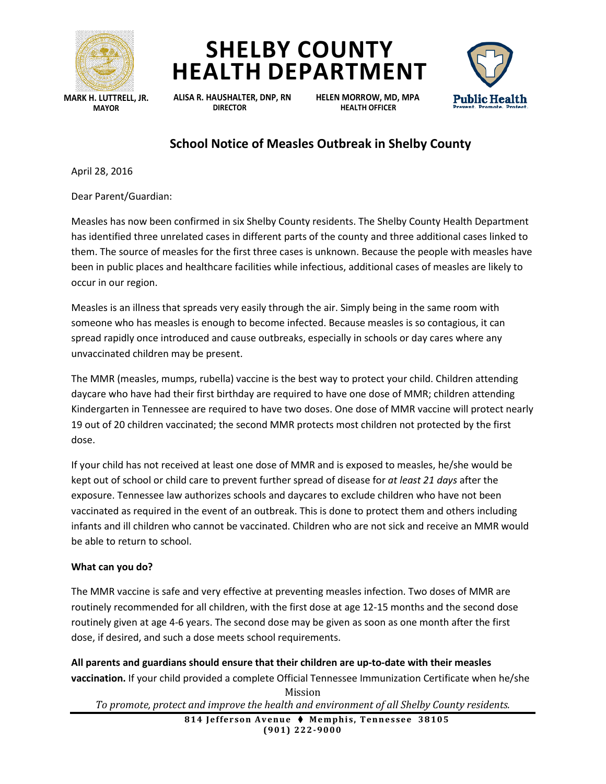





**ALISA R. HAUSHALTER, DNP, RN HELEN MORROW, MD, MPA DIRECTOR HEALTH OFFICER**



## **School Notice of Measles Outbreak in Shelby County**

April 28, 2016

Dear Parent/Guardian:

Measles has now been confirmed in six Shelby County residents. The Shelby County Health Department has identified three unrelated cases in different parts of the county and three additional cases linked to them. The source of measles for the first three cases is unknown. Because the people with measles have been in public places and healthcare facilities while infectious, additional cases of measles are likely to occur in our region.

Measles is an illness that spreads very easily through the air. Simply being in the same room with someone who has measles is enough to become infected. Because measles is so contagious, it can spread rapidly once introduced and cause outbreaks, especially in schools or day cares where any unvaccinated children may be present.

The MMR (measles, mumps, rubella) vaccine is the best way to protect your child. Children attending daycare who have had their first birthday are required to have one dose of MMR; children attending Kindergarten in Tennessee are required to have two doses. One dose of MMR vaccine will protect nearly 19 out of 20 children vaccinated; the second MMR protects most children not protected by the first dose.

If your child has not received at least one dose of MMR and is exposed to measles, he/she would be kept out of school or child care to prevent further spread of disease for *at least 21 days* after the exposure. Tennessee law authorizes schools and daycares to exclude children who have not been vaccinated as required in the event of an outbreak. This is done to protect them and others including infants and ill children who cannot be vaccinated. Children who are not sick and receive an MMR would be able to return to school.

## **What can you do?**

The MMR vaccine is safe and very effective at preventing measles infection. Two doses of MMR are routinely recommended for all children, with the first dose at age 12-15 months and the second dose routinely given at age 4-6 years. The second dose may be given as soon as one month after the first dose, if desired, and such a dose meets school requirements.

Mission **All parents and guardians should ensure that their children are up-to-date with their measles vaccination.** If your child provided a complete Official Tennessee Immunization Certificate when he/she

*To promote, protect and improve the health and environment of all Shelby County residents.*